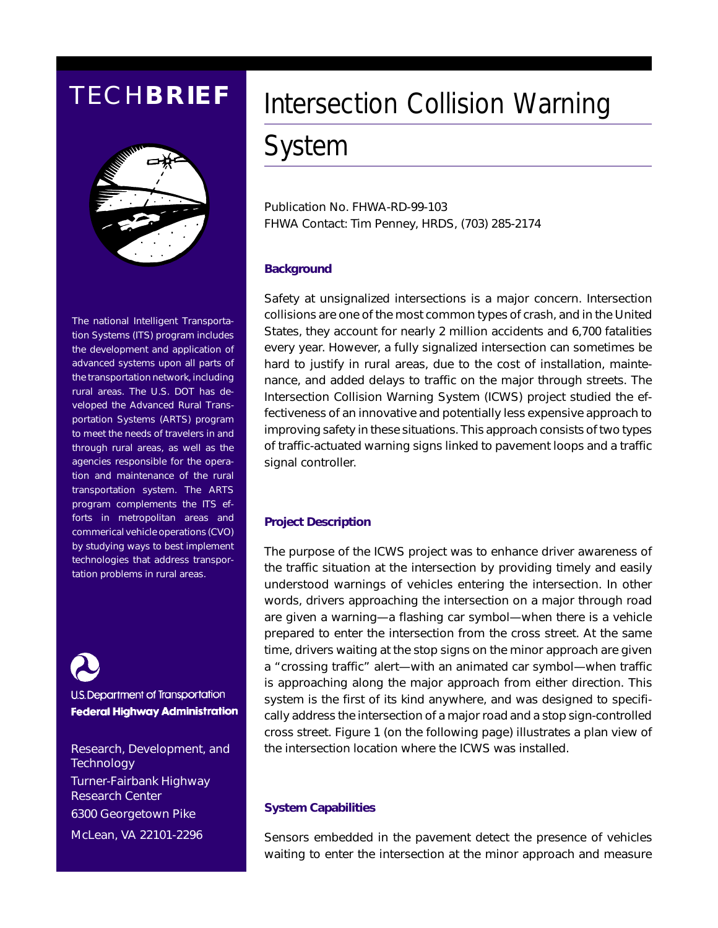### TECH**BRIEF**



The national Intelligent Transportation Systems (ITS) program includes the development and application of advanced systems upon all parts of the transportation network, including rural areas. The U.S. DOT has developed the Advanced Rural Transportation Systems (ARTS) program to meet the needs of travelers in and through rural areas, as well as the agencies responsible for the operation and maintenance of the rural transportation system. The ARTS program complements the ITS efforts in metropolitan areas and commerical vehicle operations (CVO) by studying ways to best implement technologies that address transportation problems in rural areas.

U.S. Department of Transportation **Federal Highway Administration** 

Research, Development, and **Technology** Turner-Fairbank Highway Research Center 6300 Georgetown Pike McLean, VA 22101-2296

# Intersection Collision Warning

## System

Publication No. FHWA-RD-99-103 FHWA Contact: Tim Penney, HRDS, (703) 285-2174

#### **Background**

Safety at unsignalized intersections is a major concern. Intersection collisions are one of the most common types of crash, and in the United States, they account for nearly 2 million accidents and 6,700 fatalities every year. However, a fully signalized intersection can sometimes be hard to justify in rural areas, due to the cost of installation, maintenance, and added delays to traffic on the major through streets. The Intersection Collision Warning System (ICWS) project studied the effectiveness of an innovative and potentially less expensive approach to improving safety in these situations. This approach consists of two types of traffic-actuated warning signs linked to pavement loops and a traffic signal controller.

#### **Project Description**

The purpose of the ICWS project was to enhance driver awareness of the traffic situation at the intersection by providing timely and easily understood warnings of vehicles entering the intersection. In other words, drivers approaching the intersection on a major through road are given a warning—a flashing car symbol—when there is a vehicle prepared to enter the intersection from the cross street. At the same time, drivers waiting at the stop signs on the minor approach are given a "crossing traffic" alert—with an animated car symbol—when traffic is approaching along the major approach from either direction. This system is the first of its kind anywhere, and was designed to specifically address the intersection of a major road and a stop sign-controlled cross street. Figure 1 (on the following page) illustrates a plan view of the intersection location where the ICWS was installed.

#### **System Capabilities**

Sensors embedded in the pavement detect the presence of vehicles waiting to enter the intersection at the minor approach and measure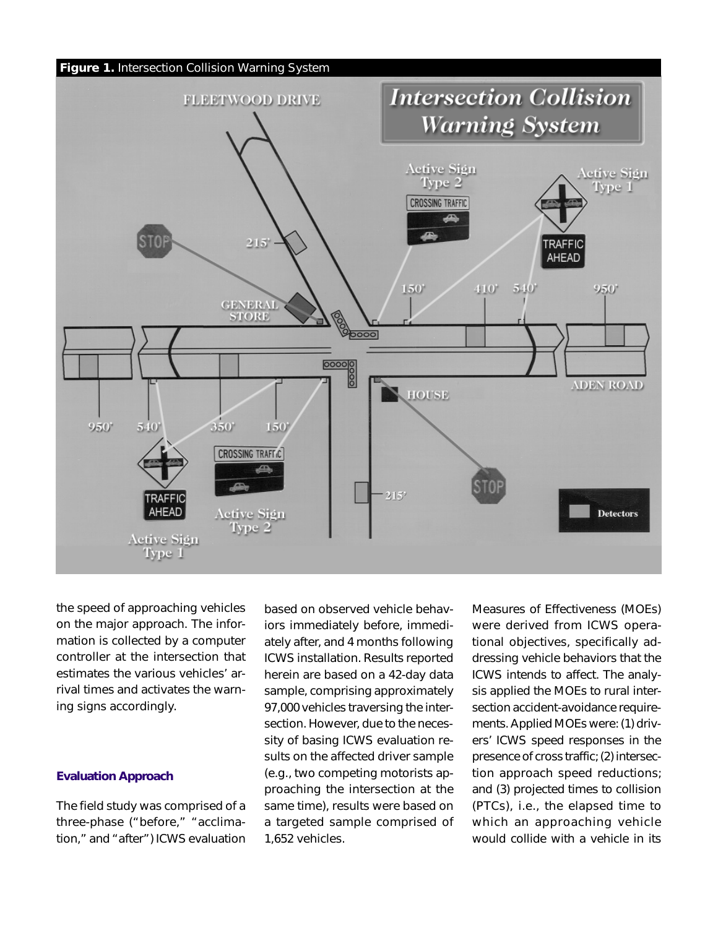

the speed of approaching vehicles on the major approach. The information is collected by a computer controller at the intersection that estimates the various vehicles' arrival times and activates the warning signs accordingly.

#### **Evaluation Approach**

The field study was comprised of a three-phase ("before," "acclimation," and "after") ICWS evaluation

based on observed vehicle behaviors immediately before, immediately after, and 4 months following ICWS installation. Results reported herein are based on a 42-day data sample, comprising approximately 97,000 vehicles traversing the intersection. However, due to the necessity of basing ICWS evaluation results on the affected driver sample (e.g., two competing motorists approaching the intersection at the same time), results were based on a targeted sample comprised of 1,652 vehicles.

Measures of Effectiveness (MOEs) were derived from ICWS operational objectives, specifically addressing vehicle behaviors that the ICWS intends to affect. The analysis applied the MOEs to rural intersection accident-avoidance requirements. Applied MOEs were: (1) drivers' ICWS speed responses in the presence of cross traffic; (2) intersection approach speed reductions; and (3) projected times to collision (PTCs), i.e., the elapsed time to which an approaching vehicle would collide with a vehicle in its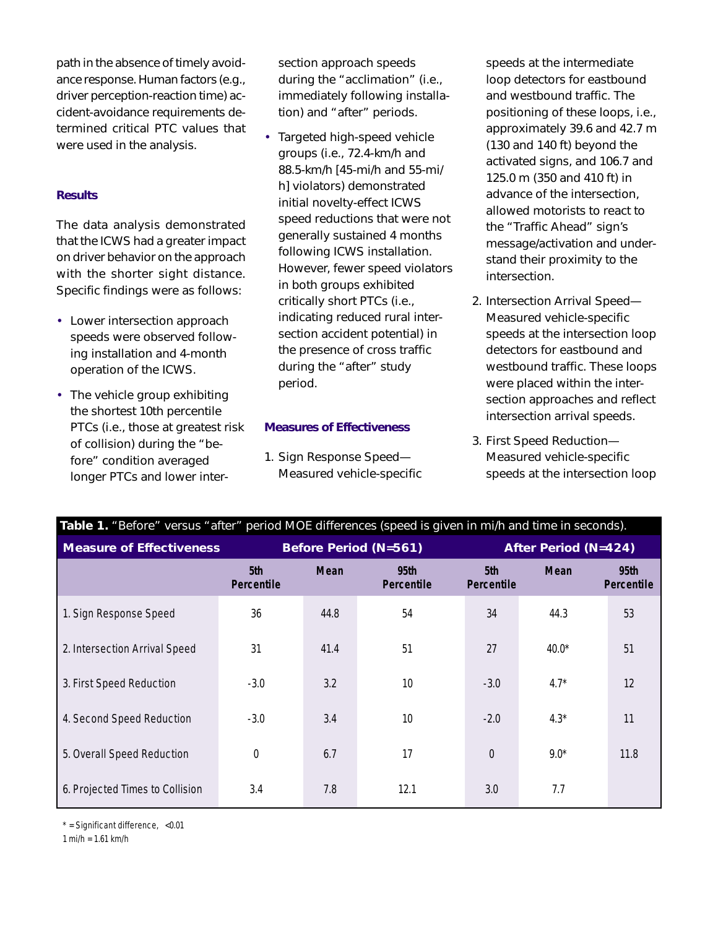path in the absence of timely avoidance response. Human factors (e.g., driver perception-reaction time) accident-avoidance requirements determined critical PTC values that were used in the analysis.

#### **Results**

The data analysis demonstrated that the ICWS had a greater impact on driver behavior on the approach with the shorter sight distance. Specific findings were as follows:

- Lower intersection approach speeds were observed following installation and 4-month operation of the ICWS.
- The vehicle group exhibiting the shortest 10th percentile PTCs (i.e., those at greatest risk of collision) during the "before" condition averaged longer PTCs and lower inter-

section approach speeds during the "acclimation" (i.e., immediately following installation) and "after" periods.

• Targeted high-speed vehicle groups (i.e., 72.4-km/h and 88.5-km/h [45-mi/h and 55-mi/ h] violators) demonstrated initial novelty-effect ICWS speed reductions that were not generally sustained 4 months following ICWS installation. However, fewer speed violators in both groups exhibited critically short PTCs (i.e., indicating reduced rural intersection accident potential) in the presence of cross traffic during the "after" study period.

#### **Measures of Effectiveness**

1. Sign Response Speed— Measured vehicle-specific speeds at the intermediate loop detectors for eastbound and westbound traffic. The positioning of these loops, i.e., approximately 39.6 and 42.7 m (130 and 140 ft) beyond the activated signs, and 106.7 and 125.0 m (350 and 410 ft) in advance of the intersection, allowed motorists to react to the "Traffic Ahead" sign's message/activation and understand their proximity to the intersection.

- 2. Intersection Arrival Speed— Measured vehicle-specific speeds at the intersection loop detectors for eastbound and westbound traffic. These loops were placed within the intersection approaches and reflect intersection arrival speeds.
- 3. First Speed Reduction— Measured vehicle-specific speeds at the intersection loop

| Table 1. "Before" versus "after" period MOE differences (speed is given in mi/h and time in seconds). |                              |             |                    |                             |             |                                       |
|-------------------------------------------------------------------------------------------------------|------------------------------|-------------|--------------------|-----------------------------|-------------|---------------------------------------|
| <b>Measure of Effectiveness</b>                                                                       | <b>Before Period (N=561)</b> |             |                    | <b>After Period (N=424)</b> |             |                                       |
|                                                                                                       | 5th<br>Percentile            | <b>Mean</b> | 95th<br>Percentile | 5th<br>Percentile           | <b>Mean</b> | 95 <sub>th</sub><br><b>Percentile</b> |
| 1. Sign Response Speed                                                                                | 36                           | 44.8        | 54                 | 34                          | 44.3        | 53                                    |
| 2. Intersection Arrival Speed                                                                         | 31                           | 41.4        | 51                 | 27                          | $40.0*$     | 51                                    |
| 3. First Speed Reduction                                                                              | $-3.0$                       | 3.2         | 10                 | $-3.0$                      | $4.7*$      | 12                                    |
| 4. Second Speed Reduction                                                                             | $-3.0$                       | 3.4         | 10                 | $-2.0$                      | $4.3*$      | 11                                    |
| 5. Overall Speed Reduction                                                                            | $\boldsymbol{0}$             | 6.7         | 17                 | $\mathbf 0$                 | $9.0*$      | 11.8                                  |
| 6. Projected Times to Collision                                                                       | 3.4                          | 7.8         | 12.1               | 3.0                         | 7.7         |                                       |

 $*$  = Significant difference, <0.01

1 mi/h = 1.61 km/h